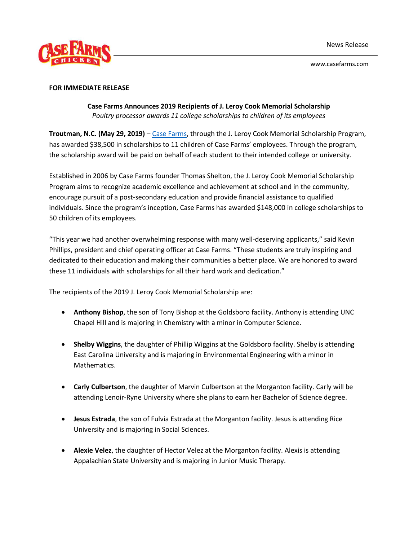

www.casefarms.com

## **FOR IMMEDIATE RELEASE**

**Case Farms Announces 2019 Recipients of J. Leroy Cook Memorial Scholarship** *Poultry processor awards 11 college scholarships to children of its employees*

**Troutman, N.C. (May 29, 2019)** – [Case Farms,](https://www.casefarms.com/) through the J. Leroy Cook Memorial Scholarship Program, has awarded \$38,500 in scholarships to 11 children of Case Farms' employees. Through the program, the scholarship award will be paid on behalf of each student to their intended college or university.

Established in 2006 by Case Farms founder Thomas Shelton, the J. Leroy Cook Memorial Scholarship Program aims to recognize academic excellence and achievement at school and in the community, encourage pursuit of a post-secondary education and provide financial assistance to qualified individuals. Since the program's inception, Case Farms has awarded \$148,000 in college scholarships to 50 children of its employees.

"This year we had another overwhelming response with many well-deserving applicants," said Kevin Phillips, president and chief operating officer at Case Farms. "These students are truly inspiring and dedicated to their education and making their communities a better place. We are honored to award these 11 individuals with scholarships for all their hard work and dedication."

The recipients of the 2019 J. Leroy Cook Memorial Scholarship are:

- **Anthony Bishop**, the son of Tony Bishop at the Goldsboro facility. Anthony is attending UNC Chapel Hill and is majoring in Chemistry with a minor in Computer Science.
- **Shelby Wiggins**, the daughter of Phillip Wiggins at the Goldsboro facility. Shelby is attending East Carolina University and is majoring in Environmental Engineering with a minor in Mathematics.
- **Carly Culbertson**, the daughter of Marvin Culbertson at the Morganton facility. Carly will be attending Lenoir-Ryne University where she plans to earn her Bachelor of Science degree.
- **Jesus Estrada**, the son of Fulvia Estrada at the Morganton facility. Jesus is attending Rice University and is majoring in Social Sciences.
- **Alexie Velez**, the daughter of Hector Velez at the Morganton facility. Alexis is attending Appalachian State University and is majoring in Junior Music Therapy.